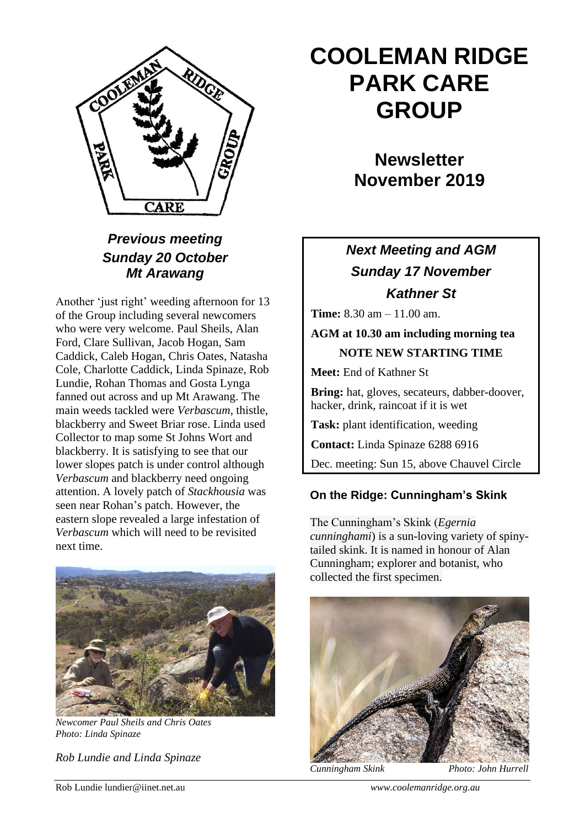

### *Previous meeting Sunday 20 October Mt Arawang*

Another 'just right' weeding afternoon for 13 of the Group including several newcomers who were very welcome. Paul Sheils, Alan Ford, Clare Sullivan, Jacob Hogan, Sam Caddick, Caleb Hogan, Chris Oates, Natasha Cole, Charlotte Caddick, Linda Spinaze, Rob Lundie, Rohan Thomas and Gosta Lynga fanned out across and up Mt Arawang. The main weeds tackled were *Verbascum*, thistle, blackberry and Sweet Briar rose. Linda used Collector to map some St Johns Wort and blackberry. It is satisfying to see that our lower slopes patch is under control although *Verbascum* and blackberry need ongoing attention. A lovely patch of *Stackhousia* was seen near Rohan's patch. However, the eastern slope revealed a large infestation of *Verbascum* which will need to be revisited next time.



*Newcomer Paul Sheils and Chris Oates Photo: Linda Spinaze*

*Rob Lundie and Linda Spinaze*

# **COOLEMAN RIDGE PARK CARE GROUP**

**Newsletter November 2019** 

## *Next Meeting and AGM Sunday 17 November Kathner St*

**Time:** 8.30 am – 11.00 am.

**AGM at 10.30 am including morning tea NOTE NEW STARTING TIME**

**Meet:** End of Kathner St

**Bring:** hat, gloves, secateurs, dabber-doover, hacker, drink, raincoat if it is wet

**Task:** plant identification, weeding

**Contact:** Linda Spinaze 6288 6916

Dec. meeting: Sun 15, above Chauvel Circle

#### **On the Ridge: Cunningham's Skink**

The Cunningham's Skink (*Egernia cunninghami*) is a sun-loving variety of spinytailed skink. It is named in honour of Alan Cunningham; explorer and botanist, who collected the first specimen.



*Cunningham Skink Photo: John Hurrell*